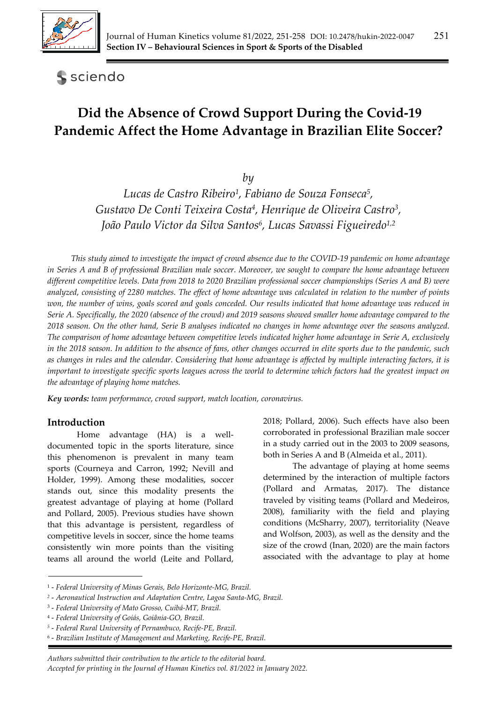

## **S** sciendo

# **Did the Absence of Crowd Support During the Covid-19 Pandemic Affect the Home Advantage in Brazilian Elite Soccer?**

*by* 

*Lucas de Castro Ribeiro1, Fabiano de Souza Fonseca5, Gustavo De Conti Teixeira Costa4, Henrique de Oliveira Castro3, João Paulo Victor da Silva Santos6, Lucas Savassi Figueiredo1,2*

*This study aimed to investigate the impact of crowd absence due to the COVID-19 pandemic on home advantage in Series A and B of professional Brazilian male soccer. Moreover, we sought to compare the home advantage between different competitive levels. Data from 2018 to 2020 Brazilian professional soccer championships (Series A and B) were analyzed, consisting of 2280 matches. The effect of home advantage was calculated in relation to the number of points won, the number of wins, goals scored and goals conceded. Our results indicated that home advantage was reduced in Serie A. Specifically, the 2020 (absence of the crowd) and 2019 seasons showed smaller home advantage compared to the 2018 season. On the other hand, Serie B analyses indicated no changes in home advantage over the seasons analyzed. The comparison of home advantage between competitive levels indicated higher home advantage in Serie A, exclusively in the 2018 season. In addition to the absence of fans, other changes occurred in elite sports due to the pandemic, such as changes in rules and the calendar. Considering that home advantage is affected by multiple interacting factors, it is important to investigate specific sports leagues across the world to determine which factors had the greatest impact on the advantage of playing home matches.* 

*Key words: team performance, crowd support, match location, coronavirus.*

#### **Introduction**

Home advantage (HA) is a welldocumented topic in the sports literature, since this phenomenon is prevalent in many team sports (Courneya and Carron, 1992; Nevill and Holder, 1999). Among these modalities, soccer stands out, since this modality presents the greatest advantage of playing at home (Pollard and Pollard, 2005). Previous studies have shown that this advantage is persistent, regardless of competitive levels in soccer, since the home teams consistently win more points than the visiting teams all around the world (Leite and Pollard,

2018; Pollard, 2006). Such effects have also been corroborated in professional Brazilian male soccer in a study carried out in the 2003 to 2009 seasons, both in Series A and B (Almeida et al., 2011).

The advantage of playing at home seems determined by the interaction of multiple factors (Pollard and Armatas, 2017). The distance traveled by visiting teams (Pollard and Medeiros, 2008), familiarity with the field and playing conditions (McSharry, 2007), territoriality (Neave and Wolfson, 2003), as well as the density and the size of the crowd (Inan, 2020) are the main factors associated with the advantage to play at home

<sup>1 -</sup> *Federal University of Minas Gerais, Belo Horizonte-MG, Brazil.* 

*<sup>2</sup>* - *Aeronautical Instruction and Adaptation Centre, Lagoa Santa-MG, Brazil.* 

<sup>3 -</sup> *Federal University of Mato Grosso, Cuibá-MT, Brazil.* 

<sup>4 -</sup> *Federal University of Goiás, Goiânia-GO, Brazil.* 

*<sup>5</sup>* - *Federal Rural University of Pernambuco, Recife-PE, Brazil.* 

<sup>6 -</sup> *Brazilian Institute of Management and Marketing, Recife-PE, Brazil.*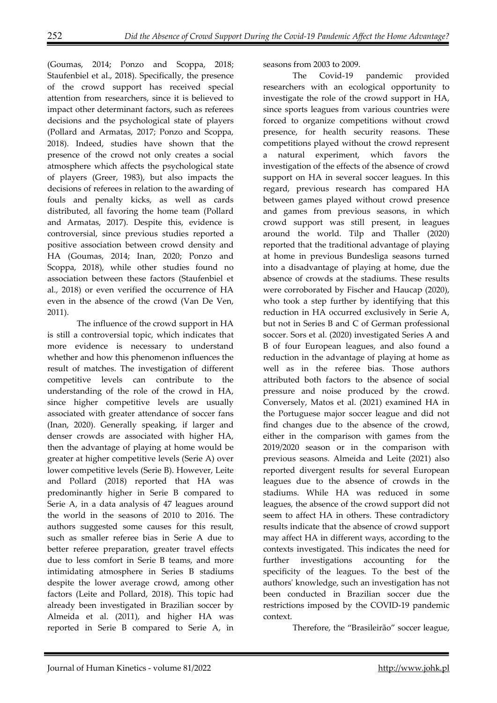(Goumas, 2014; Ponzo and Scoppa, 2018; Staufenbiel et al., 2018). Specifically, the presence of the crowd support has received special attention from researchers, since it is believed to impact other determinant factors, such as referees decisions and the psychological state of players (Pollard and Armatas, 2017; Ponzo and Scoppa, 2018). Indeed, studies have shown that the presence of the crowd not only creates a social atmosphere which affects the psychological state of players (Greer, 1983), but also impacts the decisions of referees in relation to the awarding of fouls and penalty kicks, as well as cards distributed, all favoring the home team (Pollard and Armatas, 2017). Despite this, evidence is controversial, since previous studies reported a positive association between crowd density and HA (Goumas, 2014; Inan, 2020; Ponzo and Scoppa, 2018), while other studies found no association between these factors (Staufenbiel et al., 2018) or even verified the occurrence of HA even in the absence of the crowd (Van De Ven, 2011).

The influence of the crowd support in HA is still a controversial topic, which indicates that more evidence is necessary to understand whether and how this phenomenon influences the result of matches. The investigation of different competitive levels can contribute to the understanding of the role of the crowd in HA, since higher competitive levels are usually associated with greater attendance of soccer fans (Inan, 2020). Generally speaking, if larger and denser crowds are associated with higher HA, then the advantage of playing at home would be greater at higher competitive levels (Serie A) over lower competitive levels (Serie B). However, Leite and Pollard (2018) reported that HA was predominantly higher in Serie B compared to Serie A, in a data analysis of 47 leagues around the world in the seasons of 2010 to 2016. The authors suggested some causes for this result, such as smaller referee bias in Serie A due to better referee preparation, greater travel effects due to less comfort in Serie B teams, and more intimidating atmosphere in Series B stadiums despite the lower average crowd, among other factors (Leite and Pollard, 2018). This topic had already been investigated in Brazilian soccer by Almeida et al. (2011), and higher HA was reported in Serie B compared to Serie A, in

seasons from 2003 to 2009.

The Covid-19 pandemic provided researchers with an ecological opportunity to investigate the role of the crowd support in HA, since sports leagues from various countries were forced to organize competitions without crowd presence, for health security reasons. These competitions played without the crowd represent a natural experiment, which favors the investigation of the effects of the absence of crowd support on HA in several soccer leagues. In this regard, previous research has compared HA between games played without crowd presence and games from previous seasons, in which crowd support was still present, in leagues around the world. Tilp and Thaller (2020) reported that the traditional advantage of playing at home in previous Bundesliga seasons turned into a disadvantage of playing at home, due the absence of crowds at the stadiums. These results were corroborated by Fischer and Haucap (2020), who took a step further by identifying that this reduction in HA occurred exclusively in Serie A, but not in Series B and C of German professional soccer. Sors et al. (2020) investigated Series A and B of four European leagues, and also found a reduction in the advantage of playing at home as well as in the referee bias. Those authors attributed both factors to the absence of social pressure and noise produced by the crowd. Conversely, Matos et al. (2021) examined HA in the Portuguese major soccer league and did not find changes due to the absence of the crowd, either in the comparison with games from the 2019/2020 season or in the comparison with previous seasons. Almeida and Leite (2021) also reported divergent results for several European leagues due to the absence of crowds in the stadiums. While HA was reduced in some leagues, the absence of the crowd support did not seem to affect HA in others. These contradictory results indicate that the absence of crowd support may affect HA in different ways, according to the contexts investigated. This indicates the need for further investigations accounting for the specificity of the leagues. To the best of the authors' knowledge, such an investigation has not been conducted in Brazilian soccer due the restrictions imposed by the COVID-19 pandemic context.

Therefore, the "Brasileirão" soccer league,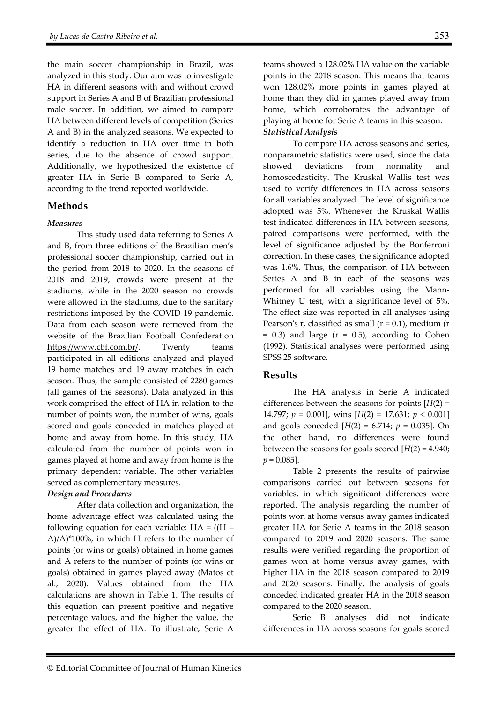the main soccer championship in Brazil, was analyzed in this study. Our aim was to investigate HA in different seasons with and without crowd support in Series A and B of Brazilian professional male soccer. In addition, we aimed to compare HA between different levels of competition (Series A and B) in the analyzed seasons. We expected to identify a reduction in HA over time in both series, due to the absence of crowd support. Additionally, we hypothesized the existence of greater HA in Serie B compared to Serie A, according to the trend reported worldwide.

## **Methods**

#### *Measures*

This study used data referring to Series A and B, from three editions of the Brazilian men's professional soccer championship, carried out in the period from 2018 to 2020. In the seasons of 2018 and 2019, crowds were present at the stadiums, while in the 2020 season no crowds were allowed in the stadiums, due to the sanitary restrictions imposed by the COVID-19 pandemic. Data from each season were retrieved from the website of the Brazilian Football Confederation https://www.cbf.com.br/. Twenty teams participated in all editions analyzed and played 19 home matches and 19 away matches in each season. Thus, the sample consisted of 2280 games (all games of the seasons). Data analyzed in this work comprised the effect of HA in relation to the number of points won, the number of wins, goals scored and goals conceded in matches played at home and away from home. In this study, HA calculated from the number of points won in games played at home and away from home is the primary dependent variable. The other variables served as complementary measures.

#### *Design and Procedures*

After data collection and organization, the home advantage effect was calculated using the following equation for each variable:  $HA = ((H –$  $A$ / $A$ <sup>\*</sup>100%, in which H refers to the number of points (or wins or goals) obtained in home games and A refers to the number of points (or wins or goals) obtained in games played away (Matos et al., 2020). Values obtained from the HA calculations are shown in Table 1. The results of this equation can present positive and negative percentage values, and the higher the value, the greater the effect of HA. To illustrate, Serie A

teams showed a 128.02% HA value on the variable points in the 2018 season. This means that teams won 128.02% more points in games played at home than they did in games played away from home, which corroborates the advantage of playing at home for Serie A teams in this season. *Statistical Analysis* 

To compare HA across seasons and series, nonparametric statistics were used, since the data showed deviations from normality and homoscedasticity. The Kruskal Wallis test was used to verify differences in HA across seasons for all variables analyzed. The level of significance adopted was 5%. Whenever the Kruskal Wallis test indicated differences in HA between seasons, paired comparisons were performed, with the level of significance adjusted by the Bonferroni correction. In these cases, the significance adopted was 1.6%. Thus, the comparison of HA between Series A and B in each of the seasons was performed for all variables using the Mann-Whitney U test, with a significance level of 5%. The effect size was reported in all analyses using Pearson's  $r$ , classified as small ( $r = 0.1$ ), medium ( $r = 0.1$ )  $= 0.3$ ) and large ( $r = 0.5$ ), according to Cohen (1992). Statistical analyses were performed using SPSS 25 software.

#### **Results**

The HA analysis in Serie A indicated differences between the seasons for points [*H*(2) = 14.797; *p* = 0.001], wins [*H*(2) = 17.631; *p* < 0.001] and goals conceded  $[H(2) = 6.714; p = 0.035]$ . On the other hand, no differences were found between the seasons for goals scored [*H*(2) = 4.940; *p* = 0.085].

Table 2 presents the results of pairwise comparisons carried out between seasons for variables, in which significant differences were reported. The analysis regarding the number of points won at home versus away games indicated greater HA for Serie A teams in the 2018 season compared to 2019 and 2020 seasons. The same results were verified regarding the proportion of games won at home versus away games, with higher HA in the 2018 season compared to 2019 and 2020 seasons. Finally, the analysis of goals conceded indicated greater HA in the 2018 season compared to the 2020 season.

Serie B analyses did not indicate differences in HA across seasons for goals scored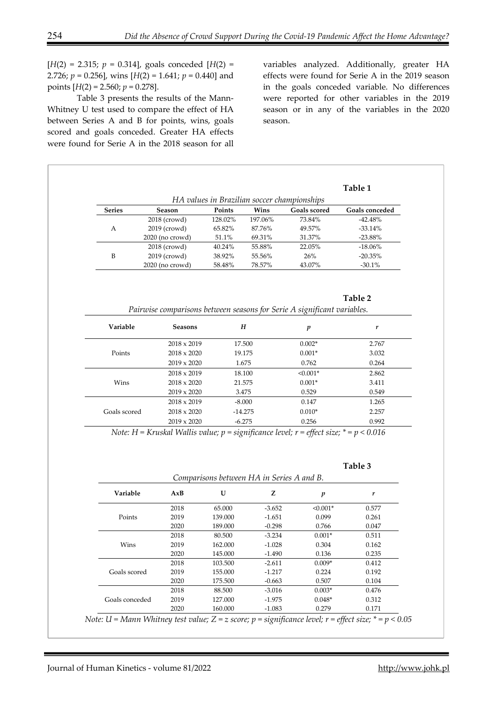$[H(2) = 2.315; p = 0.314]$ , goals conceded  $[H(2) =$ 2.726; *p* = 0.256], wins [*H*(2) = 1.641; *p* = 0.440] and points  $[H(2) = 2.560; p = 0.278]$ .

Table 3 presents the results of the Mann-Whitney U test used to compare the effect of HA between Series A and B for points, wins, goals scored and goals conceded. Greater HA effects were found for Serie A in the 2018 season for all

variables analyzed. Additionally, greater HA effects were found for Serie A in the 2019 season in the goals conceded variable. No differences were reported for other variables in the 2019 season or in any of the variables in the 2020 season.

|                                             |                   |         |         |                     | Table 1               |  |  |  |
|---------------------------------------------|-------------------|---------|---------|---------------------|-----------------------|--|--|--|
| HA values in Brazilian soccer championships |                   |         |         |                     |                       |  |  |  |
| <b>Series</b>                               | Season            | Points  | Wins    | <b>Goals scored</b> | <b>Goals conceded</b> |  |  |  |
|                                             | $2018$ (crowd)    | 128.02% | 197.06% | 73.84%              | $-42.48%$             |  |  |  |
| A                                           | 2019 (crowd)      | 65.82%  | 87.76%  | 49.57%              | $-33.14\%$            |  |  |  |
|                                             | $2020$ (no crowd) | 51.1%   | 69.31%  | 31.37%              | $-23.88\%$            |  |  |  |
| B                                           | $2018$ (crowd)    | 40.24%  | 55.88%  | 22.05%              | $-18.06\%$            |  |  |  |
|                                             | 2019 (crowd)      | 38.92%  | 55.56%  | 26%                 | $-20.35%$             |  |  |  |
|                                             | $2020$ (no crowd) | 58.48%  | 78.57%  | 43.07%              | $-30.1\%$             |  |  |  |

#### **Table 2**

| Pairwise comparisons between seasons for Serie A significant variables. |  |  |  |  |  |  |  |  |  |  |
|-------------------------------------------------------------------------|--|--|--|--|--|--|--|--|--|--|
|-------------------------------------------------------------------------|--|--|--|--|--|--|--|--|--|--|

| Variable     | <b>Seasons</b>     | $H_{\rm}$ | p          | r     |
|--------------|--------------------|-----------|------------|-------|
|              | $2018 \times 2019$ | 17.500    | $0.002*$   | 2.767 |
| Points       | $2018 \times 2020$ | 19.175    | $0.001*$   | 3.032 |
|              | $2019 \times 2020$ | 1.675     | 0.762      | 0.264 |
|              | $2018 \times 2019$ | 18.100    | $< 0.001*$ | 2.862 |
| Wins         | $2018 \times 2020$ | 21.575    | $0.001*$   | 3.411 |
|              | $2019 \times 2020$ | 3.475     | 0.529      | 0.549 |
|              | $2018 \times 2019$ | $-8.000$  | 0.147      | 1.265 |
| Goals scored | $2018 \times 2020$ | $-14.275$ | $0.010*$   | 2.257 |
|              | $2019 \times 2020$ | $-6.275$  | 0.256      | 0.992 |

*Note: H = Kruskal Wallis value; p = significance level; r = effect size; \* = p < 0.016* 

| Π<br>г. |  |
|---------|--|
|---------|--|

| Comparisons between HA in Series A and B. |      |         |          |                  |       |  |
|-------------------------------------------|------|---------|----------|------------------|-------|--|
| Variable                                  | AxB  | U       | Z        | $\boldsymbol{p}$ | r     |  |
|                                           | 2018 | 65.000  | $-3.652$ | $< 0.001*$       | 0.577 |  |
| Points                                    | 2019 | 139.000 | $-1.651$ | 0.099            | 0.261 |  |
|                                           | 2020 | 189.000 | $-0.298$ | 0.766            | 0.047 |  |
|                                           | 2018 | 80.500  | $-3.234$ | $0.001*$         | 0.511 |  |
| Wins                                      | 2019 | 162.000 | $-1.028$ | 0.304            | 0.162 |  |
|                                           | 2020 | 145.000 | -1.490   | 0.136            | 0.235 |  |
|                                           | 2018 | 103.500 | $-2.611$ | $0.009*$         | 0.412 |  |
| Goals scored                              | 2019 | 155.000 | $-1.217$ | 0.224            | 0.192 |  |
|                                           | 2020 | 175.500 | $-0.663$ | 0.507            | 0.104 |  |
|                                           | 2018 | 88.500  | $-3.016$ | $0.003*$         | 0.476 |  |
| Goals conceded                            | 2019 | 127.000 | $-1.975$ | $0.048*$         | 0.312 |  |
|                                           | 2020 | 160.000 | $-1.083$ | 0.279            | 0.171 |  |

*Note: U = Mann Whitney test value; Z = z score; p = significance level; r = effect size; \* = p < 0.05*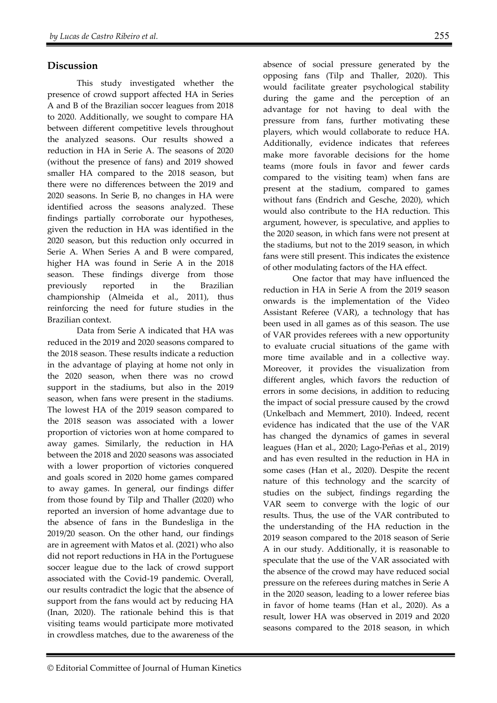## **Discussion**

This study investigated whether the presence of crowd support affected HA in Series A and B of the Brazilian soccer leagues from 2018 to 2020. Additionally, we sought to compare HA between different competitive levels throughout the analyzed seasons. Our results showed a reduction in HA in Serie A. The seasons of 2020 (without the presence of fans) and 2019 showed smaller HA compared to the 2018 season, but there were no differences between the 2019 and 2020 seasons. In Serie B, no changes in HA were identified across the seasons analyzed. These findings partially corroborate our hypotheses, given the reduction in HA was identified in the 2020 season, but this reduction only occurred in Serie A. When Series A and B were compared, higher HA was found in Serie A in the 2018 season. These findings diverge from those previously reported in the Brazilian championship (Almeida et al., 2011), thus reinforcing the need for future studies in the Brazilian context.

Data from Serie A indicated that HA was reduced in the 2019 and 2020 seasons compared to the 2018 season. These results indicate a reduction in the advantage of playing at home not only in the 2020 season, when there was no crowd support in the stadiums, but also in the 2019 season, when fans were present in the stadiums. The lowest HA of the 2019 season compared to the 2018 season was associated with a lower proportion of victories won at home compared to away games. Similarly, the reduction in HA between the 2018 and 2020 seasons was associated with a lower proportion of victories conquered and goals scored in 2020 home games compared to away games. In general, our findings differ from those found by Tilp and Thaller (2020) who reported an inversion of home advantage due to the absence of fans in the Bundesliga in the 2019/20 season. On the other hand, our findings are in agreement with Matos et al. (2021) who also did not report reductions in HA in the Portuguese soccer league due to the lack of crowd support associated with the Covid-19 pandemic. Overall, our results contradict the logic that the absence of support from the fans would act by reducing HA (Inan, 2020). The rationale behind this is that visiting teams would participate more motivated in crowdless matches, due to the awareness of the

absence of social pressure generated by the opposing fans (Tilp and Thaller, 2020). This would facilitate greater psychological stability during the game and the perception of an advantage for not having to deal with the pressure from fans, further motivating these players, which would collaborate to reduce HA. Additionally, evidence indicates that referees make more favorable decisions for the home teams (more fouls in favor and fewer cards compared to the visiting team) when fans are present at the stadium, compared to games without fans (Endrich and Gesche, 2020), which would also contribute to the HA reduction. This argument, however, is speculative, and applies to the 2020 season, in which fans were not present at the stadiums, but not to the 2019 season, in which fans were still present. This indicates the existence of other modulating factors of the HA effect.

One factor that may have influenced the reduction in HA in Serie A from the 2019 season onwards is the implementation of the Video Assistant Referee (VAR), a technology that has been used in all games as of this season. The use of VAR provides referees with a new opportunity to evaluate crucial situations of the game with more time available and in a collective way. Moreover, it provides the visualization from different angles, which favors the reduction of errors in some decisions, in addition to reducing the impact of social pressure caused by the crowd (Unkelbach and Memmert, 2010). Indeed, recent evidence has indicated that the use of the VAR has changed the dynamics of games in several leagues (Han et al., 2020; Lago-Peñas et al., 2019) and has even resulted in the reduction in HA in some cases (Han et al., 2020). Despite the recent nature of this technology and the scarcity of studies on the subject, findings regarding the VAR seem to converge with the logic of our results. Thus, the use of the VAR contributed to the understanding of the HA reduction in the 2019 season compared to the 2018 season of Serie A in our study. Additionally, it is reasonable to speculate that the use of the VAR associated with the absence of the crowd may have reduced social pressure on the referees during matches in Serie A in the 2020 season, leading to a lower referee bias in favor of home teams (Han et al., 2020). As a result, lower HA was observed in 2019 and 2020 seasons compared to the 2018 season, in which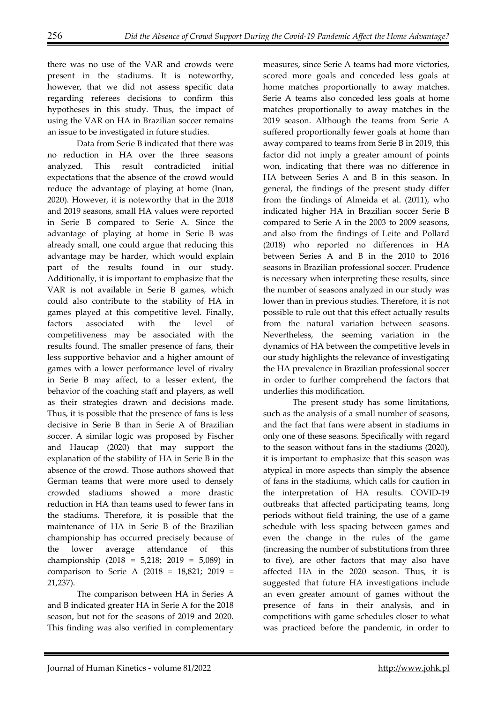there was no use of the VAR and crowds were present in the stadiums. It is noteworthy, however, that we did not assess specific data regarding referees decisions to confirm this hypotheses in this study. Thus, the impact of using the VAR on HA in Brazilian soccer remains an issue to be investigated in future studies.

Data from Serie B indicated that there was no reduction in HA over the three seasons analyzed. This result contradicted initial expectations that the absence of the crowd would reduce the advantage of playing at home (Inan, 2020). However, it is noteworthy that in the 2018 and 2019 seasons, small HA values were reported in Serie B compared to Serie A. Since the advantage of playing at home in Serie B was already small, one could argue that reducing this advantage may be harder, which would explain part of the results found in our study. Additionally, it is important to emphasize that the VAR is not available in Serie B games, which could also contribute to the stability of HA in games played at this competitive level. Finally, factors associated with the level of competitiveness may be associated with the results found. The smaller presence of fans, their less supportive behavior and a higher amount of games with a lower performance level of rivalry in Serie B may affect, to a lesser extent, the behavior of the coaching staff and players, as well as their strategies drawn and decisions made. Thus, it is possible that the presence of fans is less decisive in Serie B than in Serie A of Brazilian soccer. A similar logic was proposed by Fischer and Haucap (2020) that may support the explanation of the stability of HA in Serie B in the absence of the crowd. Those authors showed that German teams that were more used to densely crowded stadiums showed a more drastic reduction in HA than teams used to fewer fans in the stadiums. Therefore, it is possible that the maintenance of HA in Serie B of the Brazilian championship has occurred precisely because of the lower average attendance of this championship (2018 = 5,218; 2019 = 5,089) in comparison to Serie A (2018 = 18,821; 2019 = 21,237).

The comparison between HA in Series A and B indicated greater HA in Serie A for the 2018 season, but not for the seasons of 2019 and 2020. This finding was also verified in complementary measures, since Serie A teams had more victories, scored more goals and conceded less goals at home matches proportionally to away matches. Serie A teams also conceded less goals at home matches proportionally to away matches in the 2019 season. Although the teams from Serie A suffered proportionally fewer goals at home than away compared to teams from Serie B in 2019, this factor did not imply a greater amount of points won, indicating that there was no difference in HA between Series A and B in this season. In general, the findings of the present study differ from the findings of Almeida et al. (2011), who indicated higher HA in Brazilian soccer Serie B compared to Serie A in the 2003 to 2009 seasons, and also from the findings of Leite and Pollard (2018) who reported no differences in HA between Series A and B in the 2010 to 2016 seasons in Brazilian professional soccer. Prudence is necessary when interpreting these results, since the number of seasons analyzed in our study was lower than in previous studies. Therefore, it is not possible to rule out that this effect actually results from the natural variation between seasons. Nevertheless, the seeming variation in the dynamics of HA between the competitive levels in our study highlights the relevance of investigating the HA prevalence in Brazilian professional soccer in order to further comprehend the factors that underlies this modification.

The present study has some limitations, such as the analysis of a small number of seasons, and the fact that fans were absent in stadiums in only one of these seasons. Specifically with regard to the season without fans in the stadiums (2020), it is important to emphasize that this season was atypical in more aspects than simply the absence of fans in the stadiums, which calls for caution in the interpretation of HA results. COVID-19 outbreaks that affected participating teams, long periods without field training, the use of a game schedule with less spacing between games and even the change in the rules of the game (increasing the number of substitutions from three to five), are other factors that may also have affected HA in the 2020 season. Thus, it is suggested that future HA investigations include an even greater amount of games without the presence of fans in their analysis, and in competitions with game schedules closer to what was practiced before the pandemic, in order to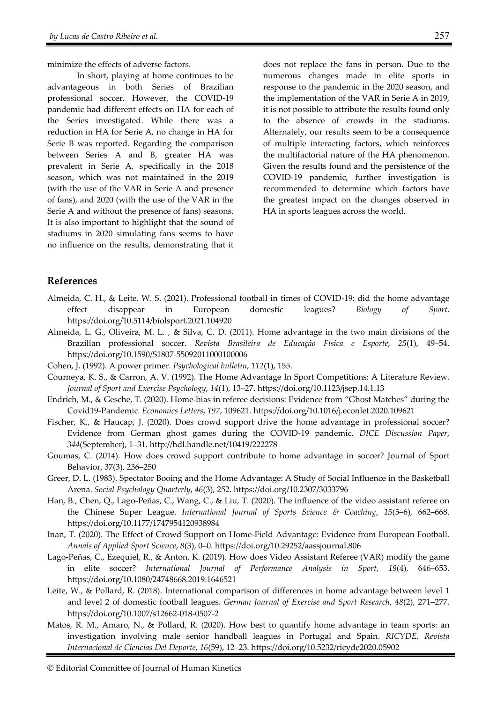minimize the effects of adverse factors.

In short, playing at home continues to be advantageous in both Series of Brazilian professional soccer. However, the COVID-19 pandemic had different effects on HA for each of the Series investigated. While there was a reduction in HA for Serie A, no change in HA for Serie B was reported. Regarding the comparison between Series A and B, greater HA was prevalent in Serie A, specifically in the 2018 season, which was not maintained in the 2019 (with the use of the VAR in Serie A and presence of fans), and 2020 (with the use of the VAR in the Serie A and without the presence of fans) seasons. It is also important to highlight that the sound of stadiums in 2020 simulating fans seems to have no influence on the results, demonstrating that it does not replace the fans in person. Due to the numerous changes made in elite sports in response to the pandemic in the 2020 season, and the implementation of the VAR in Serie A in 2019, it is not possible to attribute the results found only to the absence of crowds in the stadiums. Alternately, our results seem to be a consequence of multiple interacting factors, which reinforces the multifactorial nature of the HA phenomenon. Given the results found and the persistence of the COVID-19 pandemic, further investigation is recommended to determine which factors have the greatest impact on the changes observed in HA in sports leagues across the world.

## **References**

- Almeida, C. H., & Leite, W. S. (2021). Professional football in times of COVID-19: did the home advantage effect disappear in European domestic leagues? *Biology of Sport*. https://doi.org/10.5114/biolsport.2021.104920
- Almeida, L. G., Oliveira, M. L. , & Silva, C. D. (2011). Home advantage in the two main divisions of the Brazilian professional soccer. *Revista Brasileira de Educação Física e Esporte*, *25*(1), 49–54. https://doi.org/10.1590/S1807-55092011000100006
- Cohen, J. (1992). A power primer. *Psychological bulletin*, *112*(1), 155.
- Courneya, K. S., & Carron, A. V. (1992). The Home Advantage In Sport Competitions: A Literature Review. *Journal of Sport and Exercise Psychology*, *14*(1), 13–27. https://doi.org/10.1123/jsep.14.1.13
- Endrich, M., & Gesche, T. (2020). Home-bias in referee decisions: Evidence from "Ghost Matches" during the Covid19-Pandemic. *Economics Letters*, *197*, 109621. https://doi.org/10.1016/j.econlet.2020.109621
- Fischer, K., & Haucap, J. (2020). Does crowd support drive the home advantage in professional soccer? Evidence from German ghost games during the COVID-19 pandemic. *DICE Discussion Paper*, *344*(September), 1–31. http://hdl.handle.net/10419/222278
- Goumas, C. (2014). How does crowd support contribute to home advantage in soccer? Journal of Sport Behavior, 37(3), 236–250
- Greer, D. L. (1983). Spectator Booing and the Home Advantage: A Study of Social Influence in the Basketball Arena. *Social Psychology Quarterly*, *46*(3), 252. https://doi.org/10.2307/3033796
- Han, B., Chen, Q., Lago-Peñas, C., Wang, C., & Liu, T. (2020). The influence of the video assistant referee on the Chinese Super League. *International Journal of Sports Science & Coaching*, *15*(5–6), 662–668. https://doi.org/10.1177/1747954120938984
- Inan, T. (2020). The Effect of Crowd Support on Home-Field Advantage: Evidence from European Football. *Annals of Applied Sport Science*, *8*(3), 0–0. https://doi.org/10.29252/aassjournal.806
- Lago-Peñas, C., Ezequiel, R., & Anton, K. (2019). How does Video Assistant Referee (VAR) modify the game in elite soccer? *International Journal of Performance Analysis in Sport*, *19*(4), 646–653. https://doi.org/10.1080/24748668.2019.1646521
- Leite, W., & Pollard, R. (2018). International comparison of differences in home advantage between level 1 and level 2 of domestic football leagues. *German Journal of Exercise and Sport Research*, *48*(2), 271–277. https://doi.org/10.1007/s12662-018-0507-2
- Matos, R. M., Amaro, N., & Pollard, R. (2020). How best to quantify home advantage in team sports: an investigation involving male senior handball leagues in Portugal and Spain. *RICYDE. Revista Internacional de Ciencias Del Deporte*, *16*(59), 12–23. https://doi.org/10.5232/ricyde2020.05902